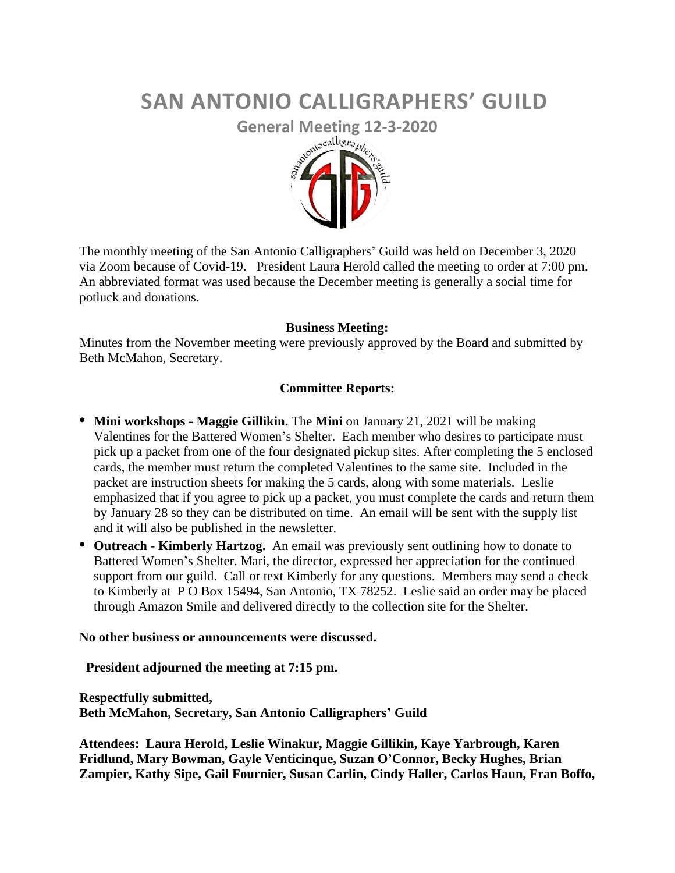# **SAN ANTONIO CALLIGRAPHERS' GUILD**



The monthly meeting of the San Antonio Calligraphers' Guild was held on December 3, 2020 via Zoom because of Covid-19. President Laura Herold called the meeting to order at 7:00 pm. An abbreviated format was used because the December meeting is generally a social time for potluck and donations.

#### **Business Meeting:**

Minutes from the November meeting were previously approved by the Board and submitted by Beth McMahon, Secretary.

### **Committee Reports:**

- **• Mini workshops - Maggie Gillikin.** The **Mini** on January 21, 2021 will be making Valentines for the Battered Women's Shelter. Each member who desires to participate must pick up a packet from one of the four designated pickup sites. After completing the 5 enclosed cards, the member must return the completed Valentines to the same site. Included in the packet are instruction sheets for making the 5 cards, along with some materials. Leslie emphasized that if you agree to pick up a packet, you must complete the cards and return them by January 28 so they can be distributed on time. An email will be sent with the supply list and it will also be published in the newsletter.
- **• Outreach - Kimberly Hartzog.** An email was previously sent outlining how to donate to Battered Women's Shelter. Mari, the director, expressed her appreciation for the continued support from our guild. Call or text Kimberly for any questions. Members may send a check to Kimberly at P O Box 15494, San Antonio, TX 78252. Leslie said an order may be placed through Amazon Smile and delivered directly to the collection site for the Shelter.

#### **No other business or announcements were discussed.**

 **President adjourned the meeting at 7:15 pm.** 

## **Respectfully submitted, Beth McMahon, Secretary, San Antonio Calligraphers' Guild**

**Attendees: Laura Herold, Leslie Winakur, Maggie Gillikin, Kaye Yarbrough, Karen Fridlund, Mary Bowman, Gayle Venticinque, Suzan O'Connor, Becky Hughes, Brian Zampier, Kathy Sipe, Gail Fournier, Susan Carlin, Cindy Haller, Carlos Haun, Fran Boffo,**